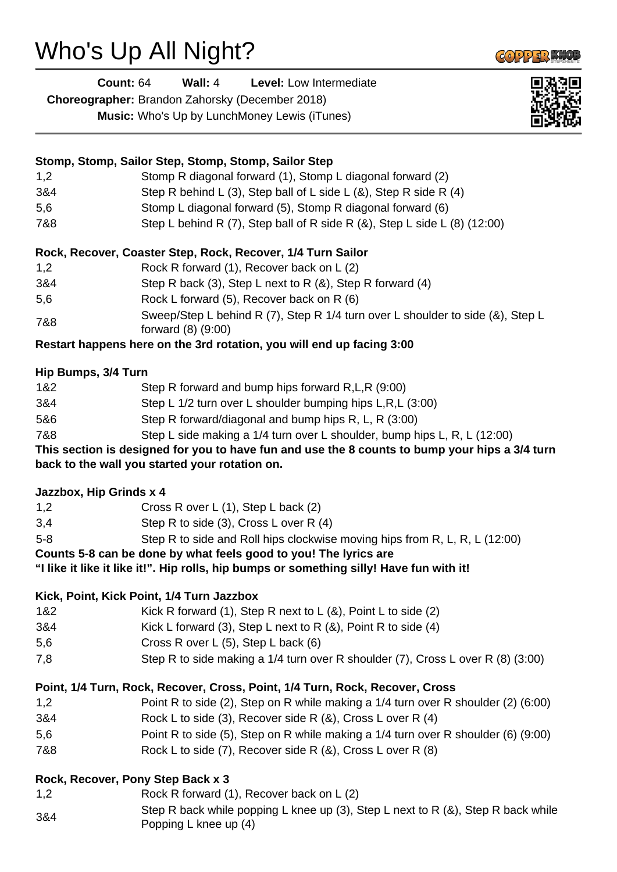## Who's Up All Night?

| <b>Count: 64</b> | Wall: $4$ | <b>Level:</b> Low Intermediate |  |
|------------------|-----------|--------------------------------|--|
|                  |           |                                |  |

**Choreographer:** Brandon Zahorsky (December 2018)

**Music:** Who's Up by LunchMoney Lewis (iTunes)

|                                   | Stomp, Stomp, Sailor Step, Stomp, Stomp, Sailor Step                                                 |
|-----------------------------------|------------------------------------------------------------------------------------------------------|
| 1,2                               | Stomp R diagonal forward (1), Stomp L diagonal forward (2)                                           |
| 3&4                               | Step R behind L (3), Step ball of L side L (&), Step R side R (4)                                    |
| 5,6                               | Stomp L diagonal forward (5), Stomp R diagonal forward (6)                                           |
| 7&8                               | Step L behind R (7), Step ball of R side R (&), Step L side L (8) (12:00)                            |
|                                   | Rock, Recover, Coaster Step, Rock, Recover, 1/4 Turn Sailor                                          |
| 1,2                               | Rock R forward (1), Recover back on L (2)                                                            |
| 3&4                               | Step R back (3), Step L next to R $(8)$ , Step R forward $(4)$                                       |
| 5,6                               | Rock L forward (5), Recover back on R (6)                                                            |
| 7&8                               | Sweep/Step L behind R (7), Step R 1/4 turn over L shoulder to side (&), Step L<br>forward (8) (9:00) |
|                                   | Restart happens here on the 3rd rotation, you will end up facing 3:00                                |
| Hip Bumps, 3/4 Turn               |                                                                                                      |
| 1&2                               | Step R forward and bump hips forward R, L, R (9:00)                                                  |
| 3&4                               | Step L 1/2 turn over L shoulder bumping hips L,R,L (3:00)                                            |
| 5&6                               | Step R forward/diagonal and bump hips R, L, R (3:00)                                                 |
| 7&8                               | Step L side making a 1/4 turn over L shoulder, bump hips L, R, L (12:00)                             |
|                                   | This section is designed for you to have fun and use the 8 counts to bump your hips a 3/4 turn       |
|                                   | back to the wall you started your rotation on.                                                       |
| Jazzbox, Hip Grinds x 4           |                                                                                                      |
| 1,2                               | Cross R over L (1), Step L back (2)                                                                  |
| 3,4                               | Step R to side (3), Cross L over R (4)                                                               |
| $5 - 8$                           | Step R to side and Roll hips clockwise moving hips from R, L, R, L (12:00)                           |
|                                   | Counts 5-8 can be done by what feels good to you! The lyrics are                                     |
|                                   | "I like it like it like it!". Hip rolls, hip bumps or something silly! Have fun with it!             |
|                                   | Kick, Point, Kick Point, 1/4 Turn Jazzbox                                                            |
| 1&2                               | Kick R forward (1), Step R next to $L(8)$ , Point L to side (2)                                      |
| 3&4                               | Kick L forward (3), Step L next to R $(8)$ , Point R to side $(4)$                                   |
| 5,6                               | Cross R over L (5), Step L back (6)                                                                  |
| 7,8                               | Step R to side making a 1/4 turn over R shoulder (7), Cross L over R (8) (3:00)                      |
|                                   | Point, 1/4 Turn, Rock, Recover, Cross, Point, 1/4 Turn, Rock, Recover, Cross                         |
| 1,2                               | Point R to side (2), Step on R while making a 1/4 turn over R shoulder (2) (6:00)                    |
| 3&4                               | Rock L to side (3), Recover side R (&), Cross L over R (4)                                           |
| 5,6                               | Point R to side (5), Step on R while making a 1/4 turn over R shoulder (6) (9:00)                    |
| 7&8                               | Rock L to side (7), Recover side R (&), Cross L over R (8)                                           |
| Rock, Recover, Pony Step Back x 3 |                                                                                                      |

- 1,2 Rock R forward (1), Recover back on L (2)
- 3&4 Step R back while popping L knee up (3), Step L next to R (&), Step R back while Popping L knee up (4)